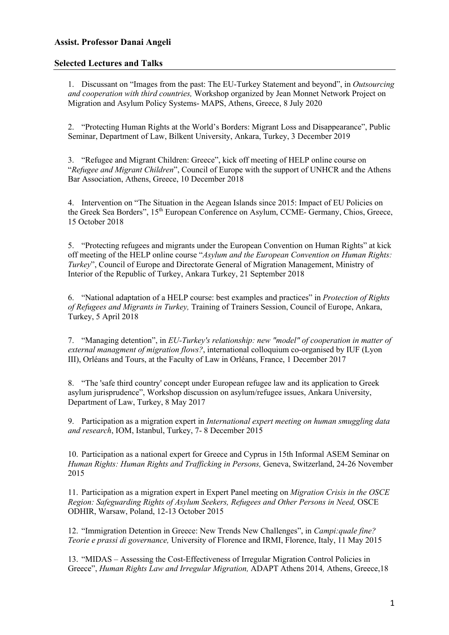## **Assist. Professor Danai Angeli**

## **Selected Lectures and Talks**

1. Discussant on "Images from the past: The EU-Turkey Statement and beyond", in *Outsourcing and cooperation with third countries,* Workshop organized by Jean Monnet Network Project on Migration and Asylum Policy Systems- MAPS, Athens, Greece, 8 July 2020

2. "Protecting Human Rights at the World's Borders: Migrant Loss and Disappearance", Public Seminar, Department of Law, Bilkent University, Ankara, Turkey, 3 December 2019

3. "Refugee and Migrant Children: Greece", kick off meeting of HELP online course on "*Refugee and Migrant Children*", Council of Europe with the support of UNHCR and the Athens Bar Association, Athens, Greece, 10 December 2018

4. Intervention on "The Situation in the Aegean Islands since 2015: Impact of EU Policies on the Greek Sea Borders", 15<sup>th</sup> European Conference on Asylum, CCME- Germany, Chios, Greece, 15 October 2018

5. "Protecting refugees and migrants under the European Convention on Human Rights" at kick off meeting of the HELP online course "*Asylum and the European Convention on Human Rights: Turkey*", Council of Europe and Directorate General of Migration Management, Ministry of Interior of the Republic of Turkey, Ankara Turkey, 21 September 2018

6. "National adaptation of a HELP course: best examples and practices" in *Protection of Rights of Refugees and Migrants in Turkey,* Training of Trainers Session, Council of Europe, Ankara, Turkey, 5 April 2018

7. "Managing detention", in *EU-Turkey's relationship: new "model" of cooperation in matter of external managment of migration flows?*, international colloquium co-organised by IUF (Lyon III), Orléans and Tours, at the Faculty of Law in Orléans, France, 1 December 2017

8. "The 'safe third country' concept under European refugee law and its application to Greek asylum jurisprudence", Workshop discussion on asylum/refugee issues, Ankara University, Department of Law, Turkey, 8 May 2017

9. Participation as a migration expert in *International expert meeting on human smuggling data and research*, IOM, Istanbul, Turkey, 7- 8 December 2015

10. Participation as a national expert for Greece and Cyprus in 15th Informal ASEM Seminar on *Human Rights: Human Rights and Trafficking in Persons,* Geneva, Switzerland, 24-26 November 2015

11. Participation as a migration expert in Expert Panel meeting on *Migration Crisis in the OSCE Region: Safeguarding Rights of Asylum Seekers, Refugees and Other Persons in Need, OSCE* ODHIR, Warsaw, Poland, 12-13 October 2015

12. "Immigration Detention in Greece: New Trends New Challenges", in *Campi:quale fine? Teorie e prassi di governance,* University of Florence and IRMI, Florence, Italy, 11 May 2015

13. "MIDAS – Assessing the Cost-Effectiveness of Irregular Migration Control Policies in Greece", *Human Rights Law and Irregular Migration,* ADAPT Athens 2014*,* Athens, Greece,18